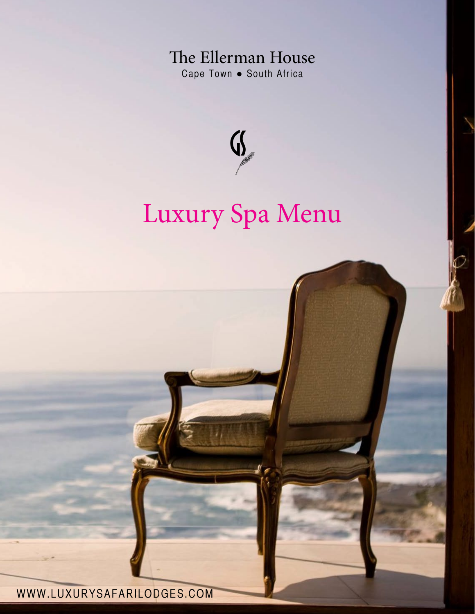The Ellerman House Cape Town . South Africa



# Luxury Spa Menu

WWW.LUXURYSAFARILODGES.COM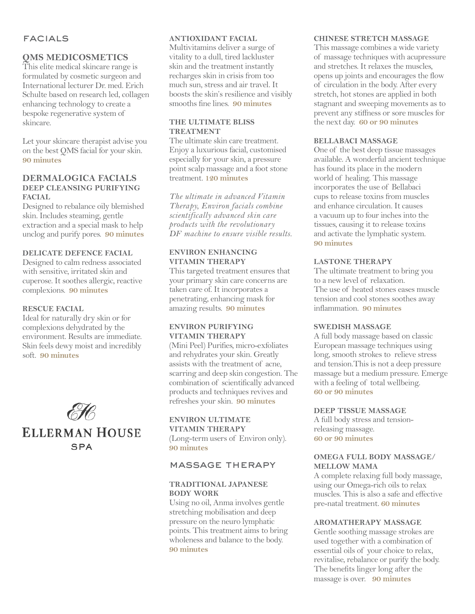# **FACIALS**

# **QMS MEDICOSMETICS**

This elite medical skincare range is formulated by cosmetic surgeon and International lecturer Dr. med. Erich Schulte based on research led, collagen enhancing technology to create a bespoke regenerative system of skincare.

Let your skincare therapist advise you on the best QMS facial for your skin. **90 minutes**

## **DERMALOGICA FACIALS DEEP CLEANSING PURIFYING FACIAL**

Designed to rebalance oily blemished skin. Includes steaming, gentle extraction and a special mask to help unclog and purify pores. **90 minutes**

## **DELICATE DEFENCE FACIAL**

Designed to calm redness associated with sensitive, irritated skin and cuperose. It soothes allergic, reactive complexions. **90 minutes** 

## **RESCUE FACIAL**

Ideal for naturally dry skin or for complexions dehydrated by the environment. Results are immediate. Skin feels dewy moist and incredibly soft. **90 minutes**



## **ANTIOXIDANT FACIAL**

Multivitamins deliver a surge of vitality to a dull, tired lackluster skin and the treatment instantly recharges skin in crisis from too much sun, stress and air travel. It boosts the skin's resilience and visibly smooths fine lines. **90 minutes**

## **THE ULTIMATE BLISS TREATMENT**

The ultimate skin care treatment. Enjoy a luxurious facial, customised especially for your skin, a pressure point scalp massage and a foot stone treatment. **120 minutes** 

*The ultimate in advanced Vitamin Therapy, Environ facials combine scientifically advanced skin care products with the revolutionary DF machine to ensure visible results.*

## **ENVIRON ENHANCING VITAMIN THERAPY**

This targeted treatment ensures that your primary skin care concerns are taken care of. It incorporates a penetrating, enhancing mask for amazing results. **90 minutes**

## **ENVIRON PURIFYING VITAMIN THERAPY**

(Mini Peel) Purifies, micro-exfoliates and rehydrates your skin. Greatly assists with the treatment of acne, scarring and deep skin congestion. The combination of scientifically advanced products and techniques revives and refreshes your skin. **90 minutes**

**ENVIRON ULTIMATE VITAMIN THERAPY**  (Long-term users of Environ only). **90 minutes**

# massage therapy

## **TRADITIONAL JAPANESE BODY WORK**

Using no oil, Anma involves gentle stretching mobilisation and deep pressure on the neuro lymphatic points. This treatment aims to bring wholeness and balance to the body. **90 minutes**

#### **CHINESE STRETCH MASSAGE**

This massage combines a wide variety of massage techniques with acupressure and stretches. It relaxes the muscles, opens up joints and encourages the flow of circulation in the body. After every stretch, hot stones are applied in both stagnant and sweeping movements as to prevent any stiffness or sore muscles for the next day. **60 or 90 minutes**

#### **BELLABACI MASSAGE**

One of the best deep tissue massages available. A wonderful ancient technique has found its place in the modern world of healing. This massage incorporates the use of Bellabaci cups to release toxins from muscles and enhance circulation. It causes a vacuum up to four inches into the tissues, causing it to release toxins and activate the lymphatic system. **90 minutes** 

## **LASTONE THERAPY**

The ultimate treatment to bring you to a new level of relaxation. The use of heated stones eases muscle tension and cool stones soothes away inflammation. **90 minutes**

#### **SWEDISH MASSAGE**

A full body massage based on classic European massage techniques using long, smooth strokes to relieve stress and tension.This is not a deep pressure massage but a medium pressure. Emerge with a feeling of total wellbeing. **60 or 90 minutes**

#### **DEEP TISSUE MASSAGE**

A full body stress and tensionreleasing massage. **60 or 90 minutes**

## **OMEGA FULL BODY MASSAGE/ MELLOW MAMA**

A complete relaxing full body massage, using our Omega-rich oils to relax muscles. This is also a safe and effective pre-natal treatment. **60 minutes**

#### **AROMATHERAPY MASSAGE**

Gentle soothing massage strokes are used together with a combination of essential oils of your choice to relax, revitalise, rebalance or purify the body. The benefits linger long after the massage is over. **90 minutes**